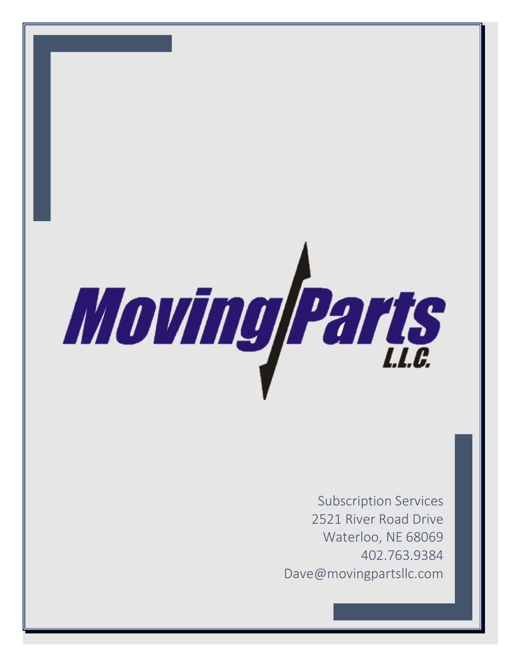

Subscription Services 2521 River Road Drive Waterloo, NE 68069 402.763.9384 Dave@movingpartsllc.com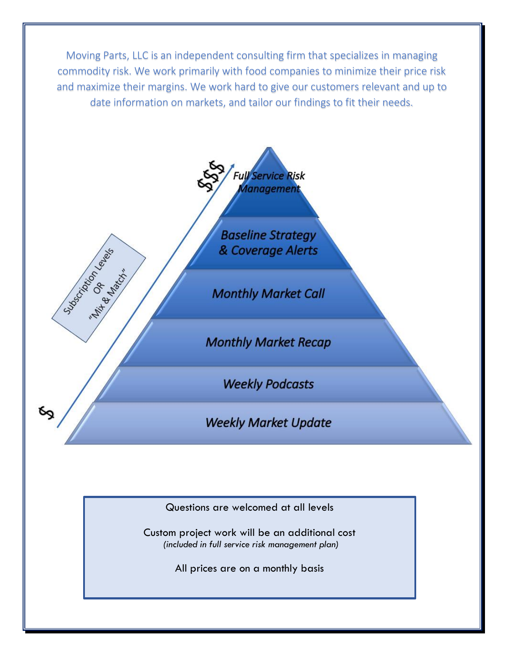Moving Parts, LLC is an independent consulting firm that specializes in managing commodity risk. We work primarily with food companies to minimize their price risk and maximize their margins. We work hard to give our customers relevant and up to date information on markets, and tailor our findings to fit their needs.



Sudoction of Marion

**Baseline Strategy** & Coverage Alerts

**Monthly Market Call** 

**Monthly Market Recap** 

**Weekly Podcasts** 

**Weekly Market Update** 

Questions are welcomed at all levels

Custom project work will be an additional cost *(included in full service risk management plan)*

All prices are on a monthly basis